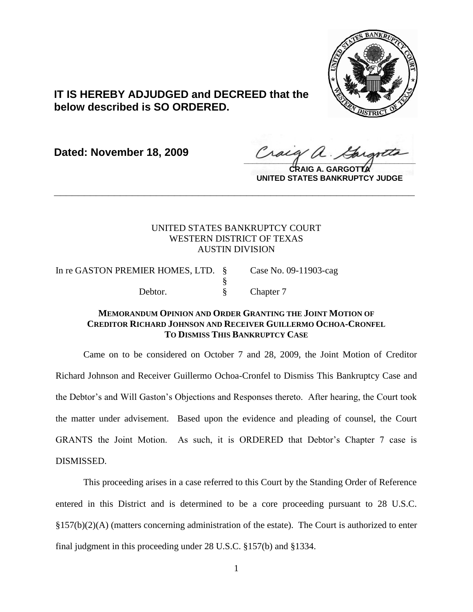

# **IT IS HEREBY ADJUDGED and DECREED that the below described is SO ORDERED.**

**Dated: November 18, 2009**

 $\frac{1}{2}$ 

**CRAIG A. GARGOTTA UNITED STATES BANKRUPTCY JUDGE**

## UNITED STATES BANKRUPTCY COURT WESTERN DISTRICT OF TEXAS AUSTIN DIVISION

**\_\_\_\_\_\_\_\_\_\_\_\_\_\_\_\_\_\_\_\_\_\_\_\_\_\_\_\_\_\_\_\_\_\_\_\_\_\_\_\_\_\_\_\_\_\_\_\_\_\_\_\_\_\_\_\_\_\_\_\_**

In re GASTON PREMIER HOMES, LTD. § Case No. 09-11903-cag § Debtor.  $\S$  Chapter 7

## **MEMORANDUM OPINION AND ORDER GRANTING THE JOINT MOTION OF CREDITOR RICHARD JOHNSON AND RECEIVER GUILLERMO OCHOA-CRONFEL TO DISMISS THIS BANKRUPTCY CASE**

Came on to be considered on October 7 and 28, 2009, the Joint Motion of Creditor Richard Johnson and Receiver Guillermo Ochoa-Cronfel to Dismiss This Bankruptcy Case and the Debtor's and Will Gaston's Objections and Responses thereto. After hearing, the Court took the matter under advisement. Based upon the evidence and pleading of counsel, the Court GRANTS the Joint Motion. As such, it is ORDERED that Debtor's Chapter 7 case is DISMISSED.

This proceeding arises in a case referred to this Court by the Standing Order of Reference entered in this District and is determined to be a core proceeding pursuant to 28 U.S.C. §157(b)(2)(A) (matters concerning administration of the estate). The Court is authorized to enter final judgment in this proceeding under 28 U.S.C. §157(b) and §1334.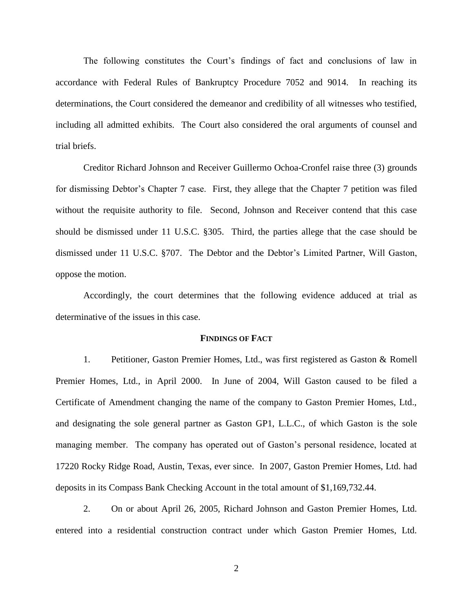The following constitutes the Court's findings of fact and conclusions of law in accordance with Federal Rules of Bankruptcy Procedure 7052 and 9014. In reaching its determinations, the Court considered the demeanor and credibility of all witnesses who testified, including all admitted exhibits. The Court also considered the oral arguments of counsel and trial briefs.

Creditor Richard Johnson and Receiver Guillermo Ochoa-Cronfel raise three (3) grounds for dismissing Debtor's Chapter 7 case. First, they allege that the Chapter 7 petition was filed without the requisite authority to file. Second, Johnson and Receiver contend that this case should be dismissed under 11 U.S.C. §305. Third, the parties allege that the case should be dismissed under 11 U.S.C. §707. The Debtor and the Debtor's Limited Partner, Will Gaston, oppose the motion.

Accordingly, the court determines that the following evidence adduced at trial as determinative of the issues in this case.

#### **FINDINGS OF FACT**

1. Petitioner, Gaston Premier Homes, Ltd., was first registered as Gaston & Romell Premier Homes, Ltd., in April 2000. In June of 2004, Will Gaston caused to be filed a Certificate of Amendment changing the name of the company to Gaston Premier Homes, Ltd., and designating the sole general partner as Gaston GP1, L.L.C., of which Gaston is the sole managing member. The company has operated out of Gaston's personal residence, located at 17220 Rocky Ridge Road, Austin, Texas, ever since. In 2007, Gaston Premier Homes, Ltd. had deposits in its Compass Bank Checking Account in the total amount of \$1,169,732.44.

2. On or about April 26, 2005, Richard Johnson and Gaston Premier Homes, Ltd. entered into a residential construction contract under which Gaston Premier Homes, Ltd.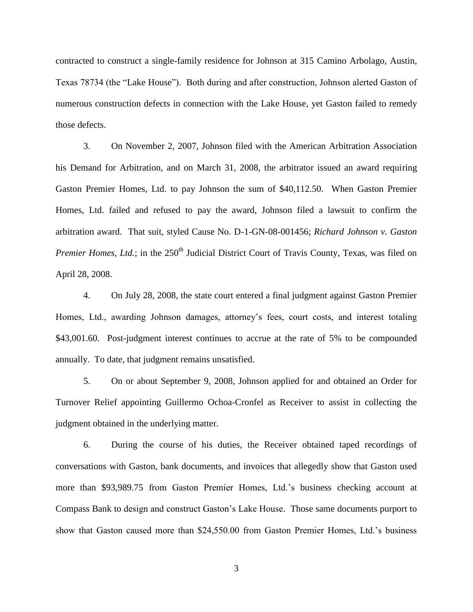contracted to construct a single-family residence for Johnson at 315 Camino Arbolago, Austin, Texas 78734 (the "Lake House"). Both during and after construction, Johnson alerted Gaston of numerous construction defects in connection with the Lake House, yet Gaston failed to remedy those defects.

3. On November 2, 2007, Johnson filed with the American Arbitration Association his Demand for Arbitration, and on March 31, 2008, the arbitrator issued an award requiring Gaston Premier Homes, Ltd. to pay Johnson the sum of \$40,112.50. When Gaston Premier Homes, Ltd. failed and refused to pay the award, Johnson filed a lawsuit to confirm the arbitration award. That suit, styled Cause No. D-1-GN-08-001456; *Richard Johnson v. Gaston Premier Homes, Ltd.*; in the 250<sup>th</sup> Judicial District Court of Travis County, Texas, was filed on April 28, 2008.

4. On July 28, 2008, the state court entered a final judgment against Gaston Premier Homes, Ltd., awarding Johnson damages, attorney's fees, court costs, and interest totaling \$43,001.60. Post-judgment interest continues to accrue at the rate of 5% to be compounded annually. To date, that judgment remains unsatisfied.

5. On or about September 9, 2008, Johnson applied for and obtained an Order for Turnover Relief appointing Guillermo Ochoa-Cronfel as Receiver to assist in collecting the judgment obtained in the underlying matter.

6. During the course of his duties, the Receiver obtained taped recordings of conversations with Gaston, bank documents, and invoices that allegedly show that Gaston used more than \$93,989.75 from Gaston Premier Homes, Ltd.'s business checking account at Compass Bank to design and construct Gaston's Lake House. Those same documents purport to show that Gaston caused more than \$24,550.00 from Gaston Premier Homes, Ltd.'s business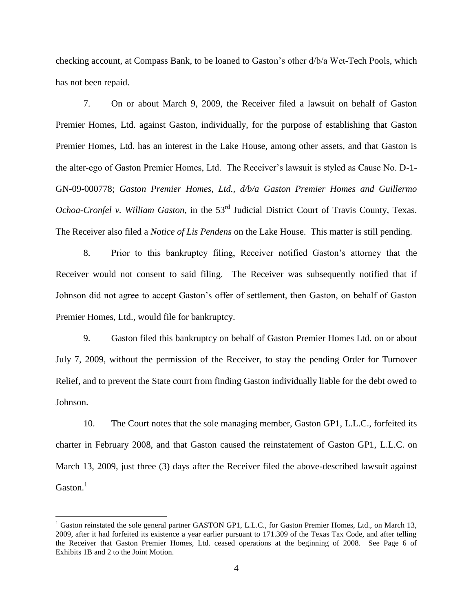checking account, at Compass Bank, to be loaned to Gaston's other d/b/a Wet-Tech Pools, which has not been repaid.

7. On or about March 9, 2009, the Receiver filed a lawsuit on behalf of Gaston Premier Homes, Ltd. against Gaston, individually, for the purpose of establishing that Gaston Premier Homes, Ltd. has an interest in the Lake House, among other assets, and that Gaston is the alter-ego of Gaston Premier Homes, Ltd. The Receiver's lawsuit is styled as Cause No. D-1- GN-09-000778; *Gaston Premier Homes, Ltd., d/b/a Gaston Premier Homes and Guillermo Ochoa-Cronfel v. William Gaston,* in the 53<sup>rd</sup> Judicial District Court of Travis County, Texas. The Receiver also filed a *Notice of Lis Pendens* on the Lake House. This matter is still pending.

8. Prior to this bankruptcy filing, Receiver notified Gaston's attorney that the Receiver would not consent to said filing. The Receiver was subsequently notified that if Johnson did not agree to accept Gaston's offer of settlement, then Gaston, on behalf of Gaston Premier Homes, Ltd., would file for bankruptcy.

9. Gaston filed this bankruptcy on behalf of Gaston Premier Homes Ltd. on or about July 7, 2009, without the permission of the Receiver, to stay the pending Order for Turnover Relief, and to prevent the State court from finding Gaston individually liable for the debt owed to Johnson.

10. The Court notes that the sole managing member, Gaston GP1, L.L.C., forfeited its charter in February 2008, and that Gaston caused the reinstatement of Gaston GP1, L.L.C. on March 13, 2009, just three (3) days after the Receiver filed the above-described lawsuit against  $G$ aston.<sup>1</sup>

 $\overline{a}$ 

<sup>&</sup>lt;sup>1</sup> Gaston reinstated the sole general partner GASTON GP1, L.L.C., for Gaston Premier Homes, Ltd., on March 13, 2009, after it had forfeited its existence a year earlier pursuant to 171.309 of the Texas Tax Code, and after telling the Receiver that Gaston Premier Homes, Ltd. ceased operations at the beginning of 2008. See Page 6 of Exhibits 1B and 2 to the Joint Motion.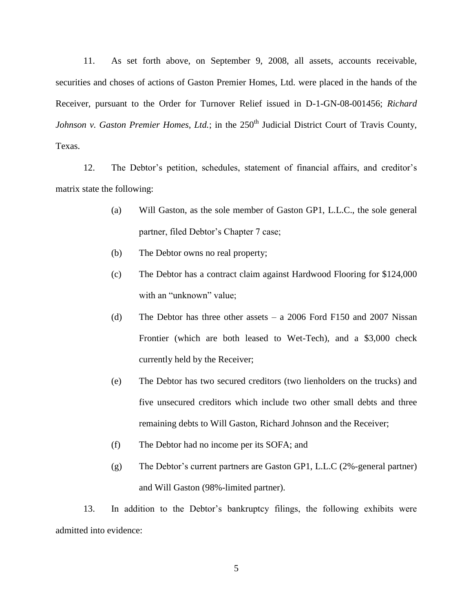11. As set forth above, on September 9, 2008, all assets, accounts receivable, securities and choses of actions of Gaston Premier Homes, Ltd. were placed in the hands of the Receiver, pursuant to the Order for Turnover Relief issued in D-1-GN-08-001456; *Richard Johnson v. Gaston Premier Homes, Ltd.*; in the 250<sup>th</sup> Judicial District Court of Travis County, Texas.

12. The Debtor's petition, schedules, statement of financial affairs, and creditor's matrix state the following:

- (a) Will Gaston, as the sole member of Gaston GP1, L.L.C., the sole general partner, filed Debtor's Chapter 7 case;
- (b) The Debtor owns no real property;
- (c) The Debtor has a contract claim against Hardwood Flooring for \$124,000 with an "unknown" value;
- (d) The Debtor has three other assets a 2006 Ford F150 and 2007 Nissan Frontier (which are both leased to Wet-Tech), and a \$3,000 check currently held by the Receiver;
- (e) The Debtor has two secured creditors (two lienholders on the trucks) and five unsecured creditors which include two other small debts and three remaining debts to Will Gaston, Richard Johnson and the Receiver;
- (f) The Debtor had no income per its SOFA; and
- (g) The Debtor's current partners are Gaston GP1, L.L.C (2%-general partner) and Will Gaston (98%-limited partner).

13. In addition to the Debtor's bankruptcy filings, the following exhibits were admitted into evidence: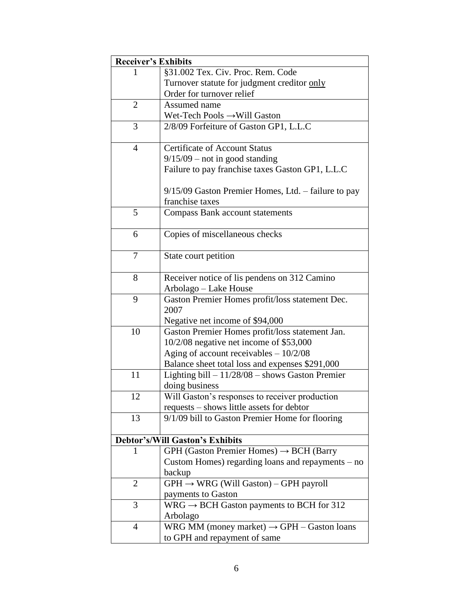| <b>Receiver's Exhibits</b> |                                                        |
|----------------------------|--------------------------------------------------------|
|                            | §31.002 Tex. Civ. Proc. Rem. Code                      |
|                            | Turnover statute for judgment creditor only            |
|                            | Order for turnover relief                              |
| $\overline{2}$             | Assumed name                                           |
|                            | Wet-Tech Pools → Will Gaston                           |
| 3                          | 2/8/09 Forfeiture of Gaston GP1, L.L.C                 |
| $\overline{4}$             | <b>Certificate of Account Status</b>                   |
|                            | $9/15/09$ – not in good standing                       |
|                            | Failure to pay franchise taxes Gaston GP1, L.L.C       |
|                            | $9/15/09$ Gaston Premier Homes, Ltd. – failure to pay  |
|                            | franchise taxes                                        |
| 5                          | <b>Compass Bank account statements</b>                 |
|                            |                                                        |
| 6                          | Copies of miscellaneous checks                         |
| 7                          | State court petition                                   |
| 8                          | Receiver notice of lis pendens on 312 Camino           |
|                            | Arbolago - Lake House                                  |
| 9                          | Gaston Premier Homes profit/loss statement Dec.        |
|                            | 2007                                                   |
|                            | Negative net income of \$94,000                        |
| 10                         | Gaston Premier Homes profit/loss statement Jan.        |
|                            | 10/2/08 negative net income of \$53,000                |
|                            | Aging of account receivables $-10/2/08$                |
|                            | Balance sheet total loss and expenses \$291,000        |
| 11                         | Lighting bill $-11/28/08$ – shows Gaston Premier       |
|                            | doing business                                         |
| 12                         | Will Gaston's responses to receiver production         |
|                            | requests - shows little assets for debtor              |
| 13                         | 9/1/09 bill to Gaston Premier Home for flooring        |
|                            | <b>Debtor's/Will Gaston's Exhibits</b>                 |
| 1                          | $GPH$ (Gaston Premier Homes) $\rightarrow$ BCH (Barry  |
|                            | Custom Homes) regarding loans and repayments – no      |
|                            | backup                                                 |
| 2                          | $GPH \rightarrow WRG$ (Will Gaston) – GPH payroll      |
|                            | payments to Gaston                                     |
| 3                          | WRG $\rightarrow$ BCH Gaston payments to BCH for 312   |
|                            | Arbolago                                               |
| 4                          | WRG MM (money market) $\rightarrow$ GPH – Gaston loans |
|                            | to GPH and repayment of same                           |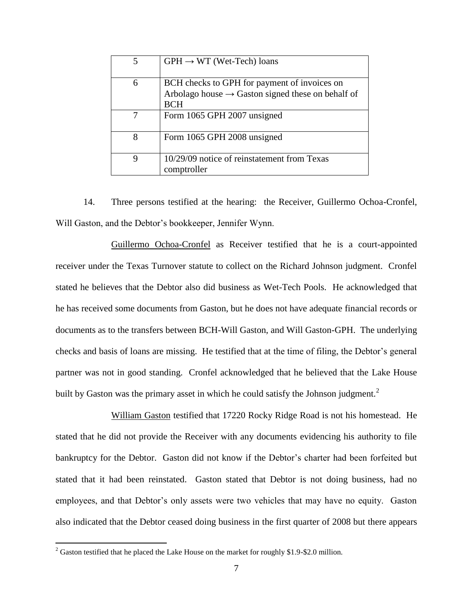| 5 | $GPH \rightarrow WT$ (Wet-Tech) loans                         |
|---|---------------------------------------------------------------|
|   |                                                               |
| 6 | BCH checks to GPH for payment of invoices on                  |
|   | Arbolago house $\rightarrow$ Gaston signed these on behalf of |
|   | <b>BCH</b>                                                    |
|   | Form 1065 GPH 2007 unsigned                                   |
| 8 | Form 1065 GPH 2008 unsigned                                   |
| 9 | 10/29/09 notice of reinstatement from Texas<br>comptroller    |

14. Three persons testified at the hearing: the Receiver, Guillermo Ochoa-Cronfel, Will Gaston, and the Debtor's bookkeeper, Jennifer Wynn.

Guillermo Ochoa-Cronfel as Receiver testified that he is a court-appointed receiver under the Texas Turnover statute to collect on the Richard Johnson judgment. Cronfel stated he believes that the Debtor also did business as Wet-Tech Pools. He acknowledged that he has received some documents from Gaston, but he does not have adequate financial records or documents as to the transfers between BCH-Will Gaston, and Will Gaston-GPH. The underlying checks and basis of loans are missing. He testified that at the time of filing, the Debtor's general partner was not in good standing. Cronfel acknowledged that he believed that the Lake House built by Gaston was the primary asset in which he could satisfy the Johnson judgment.<sup>2</sup>

William Gaston testified that 17220 Rocky Ridge Road is not his homestead. He stated that he did not provide the Receiver with any documents evidencing his authority to file bankruptcy for the Debtor. Gaston did not know if the Debtor's charter had been forfeited but stated that it had been reinstated. Gaston stated that Debtor is not doing business, had no employees, and that Debtor's only assets were two vehicles that may have no equity. Gaston also indicated that the Debtor ceased doing business in the first quarter of 2008 but there appears

 $\overline{a}$ 

 $2$  Gaston testified that he placed the Lake House on the market for roughly \$1.9-\$2.0 million.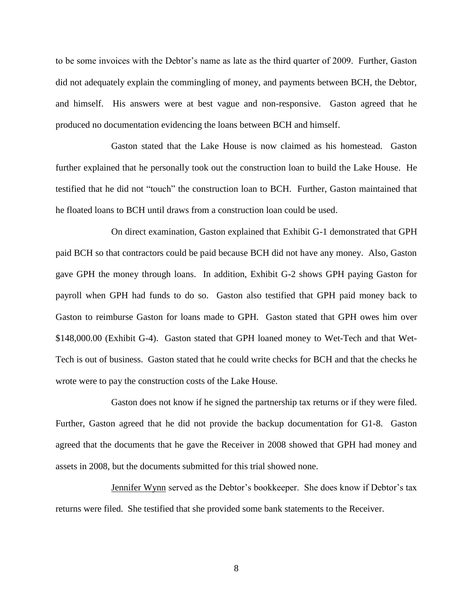to be some invoices with the Debtor's name as late as the third quarter of 2009. Further, Gaston did not adequately explain the commingling of money, and payments between BCH, the Debtor, and himself. His answers were at best vague and non-responsive. Gaston agreed that he produced no documentation evidencing the loans between BCH and himself.

Gaston stated that the Lake House is now claimed as his homestead. Gaston further explained that he personally took out the construction loan to build the Lake House. He testified that he did not "touch" the construction loan to BCH. Further, Gaston maintained that he floated loans to BCH until draws from a construction loan could be used.

On direct examination, Gaston explained that Exhibit G-1 demonstrated that GPH paid BCH so that contractors could be paid because BCH did not have any money. Also, Gaston gave GPH the money through loans. In addition, Exhibit G-2 shows GPH paying Gaston for payroll when GPH had funds to do so. Gaston also testified that GPH paid money back to Gaston to reimburse Gaston for loans made to GPH. Gaston stated that GPH owes him over \$148,000.00 (Exhibit G-4). Gaston stated that GPH loaned money to Wet-Tech and that Wet-Tech is out of business. Gaston stated that he could write checks for BCH and that the checks he wrote were to pay the construction costs of the Lake House.

Gaston does not know if he signed the partnership tax returns or if they were filed. Further, Gaston agreed that he did not provide the backup documentation for G1-8. Gaston agreed that the documents that he gave the Receiver in 2008 showed that GPH had money and assets in 2008, but the documents submitted for this trial showed none.

Jennifer Wynn served as the Debtor's bookkeeper. She does know if Debtor's tax returns were filed. She testified that she provided some bank statements to the Receiver.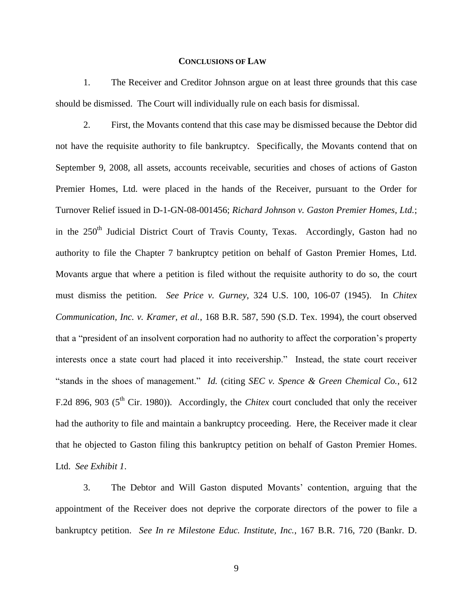### **CONCLUSIONS OF LAW**

1. The Receiver and Creditor Johnson argue on at least three grounds that this case should be dismissed. The Court will individually rule on each basis for dismissal.

2. First, the Movants contend that this case may be dismissed because the Debtor did not have the requisite authority to file bankruptcy. Specifically, the Movants contend that on September 9, 2008, all assets, accounts receivable, securities and choses of actions of Gaston Premier Homes, Ltd. were placed in the hands of the Receiver, pursuant to the Order for Turnover Relief issued in D-1-GN-08-001456; *Richard Johnson v. Gaston Premier Homes, Ltd.*; in the  $250<sup>th</sup>$  Judicial District Court of Travis County, Texas. Accordingly, Gaston had no authority to file the Chapter 7 bankruptcy petition on behalf of Gaston Premier Homes, Ltd. Movants argue that where a petition is filed without the requisite authority to do so, the court must dismiss the petition. *See Price v. Gurney*, 324 U.S. 100, 106-07 (1945). In *Chitex Communication, Inc. v. Kramer, et al.*, 168 B.R. 587, 590 (S.D. Tex. 1994), the court observed that a "president of an insolvent corporation had no authority to affect the corporation's property interests once a state court had placed it into receivership." Instead, the state court receiver "stands in the shoes of management." *Id.* (citing *SEC v. Spence & Green Chemical Co.*, 612 F.2d 896, 903 (5<sup>th</sup> Cir. 1980)). Accordingly, the *Chitex* court concluded that only the receiver had the authority to file and maintain a bankruptcy proceeding. Here, the Receiver made it clear that he objected to Gaston filing this bankruptcy petition on behalf of Gaston Premier Homes. Ltd. *See Exhibit 1*.

3. The Debtor and Will Gaston disputed Movants' contention, arguing that the appointment of the Receiver does not deprive the corporate directors of the power to file a bankruptcy petition. *See In re Milestone Educ. Institute, Inc.*, 167 B.R. 716, 720 (Bankr. D.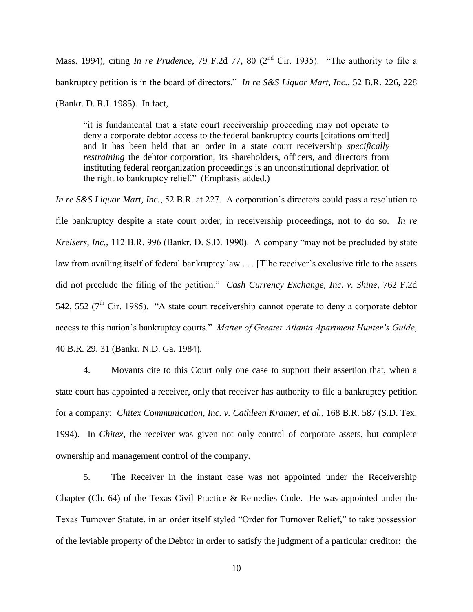Mass. 1994), citing *In re Prudence*, 79 F.2d 77, 80 (2<sup>nd</sup> Cir. 1935). "The authority to file a bankruptcy petition is in the board of directors." *In re S&S Liquor Mart, Inc.*, 52 B.R. 226, 228 (Bankr. D. R.I. 1985). In fact,

―it is fundamental that a state court receivership proceeding may not operate to deny a corporate debtor access to the federal bankruptcy courts [citations omitted] and it has been held that an order in a state court receivership *specifically restraining* the debtor corporation, its shareholders, officers, and directors from instituting federal reorganization proceedings is an unconstitutional deprivation of the right to bankruptcy relief." (Emphasis added.)

*In re S&S Liquor Mart, Inc.*, 52 B.R. at 227. A corporation's directors could pass a resolution to file bankruptcy despite a state court order, in receivership proceedings, not to do so. *In re Kreisers, Inc.*, 112 B.R. 996 (Bankr. D. S.D. 1990). A company "may not be precluded by state law from availing itself of federal bankruptcy law . . . [T]he receiver's exclusive title to the assets did not preclude the filing of the petition.‖ *Cash Currency Exchange, Inc. v. Shine*, 762 F.2d 542, 552 ( $7<sup>th</sup>$  Cir. 1985). "A state court receivership cannot operate to deny a corporate debtor access to this nation's bankruptcy courts." Matter of Greater Atlanta Apartment Hunter's Guide, 40 B.R. 29, 31 (Bankr. N.D. Ga. 1984).

4. Movants cite to this Court only one case to support their assertion that, when a state court has appointed a receiver, only that receiver has authority to file a bankruptcy petition for a company: *Chitex Communication, Inc. v. Cathleen Kramer, et al.*, 168 B.R. 587 (S.D. Tex. 1994). In *Chitex*, the receiver was given not only control of corporate assets, but complete ownership and management control of the company.

5. The Receiver in the instant case was not appointed under the Receivership Chapter (Ch. 64) of the Texas Civil Practice & Remedies Code. He was appointed under the Texas Turnover Statute, in an order itself styled "Order for Turnover Relief," to take possession of the leviable property of the Debtor in order to satisfy the judgment of a particular creditor: the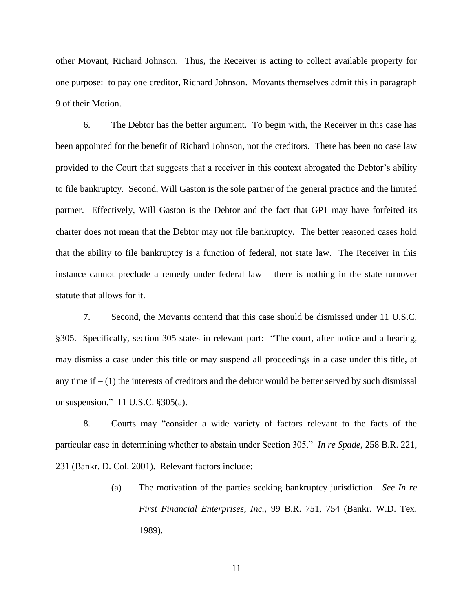other Movant, Richard Johnson. Thus, the Receiver is acting to collect available property for one purpose: to pay one creditor, Richard Johnson. Movants themselves admit this in paragraph 9 of their Motion.

6. The Debtor has the better argument. To begin with, the Receiver in this case has been appointed for the benefit of Richard Johnson, not the creditors. There has been no case law provided to the Court that suggests that a receiver in this context abrogated the Debtor's ability to file bankruptcy. Second, Will Gaston is the sole partner of the general practice and the limited partner. Effectively, Will Gaston is the Debtor and the fact that GP1 may have forfeited its charter does not mean that the Debtor may not file bankruptcy. The better reasoned cases hold that the ability to file bankruptcy is a function of federal, not state law. The Receiver in this instance cannot preclude a remedy under federal law – there is nothing in the state turnover statute that allows for it.

7. Second, the Movants contend that this case should be dismissed under 11 U.S.C. §305. Specifically, section 305 states in relevant part: "The court, after notice and a hearing, may dismiss a case under this title or may suspend all proceedings in a case under this title, at any time if  $- (1)$  the interests of creditors and the debtor would be better served by such dismissal or suspension." 11 U.S.C.  $§305(a)$ .

8. Courts may "consider a wide variety of factors relevant to the facts of the particular case in determining whether to abstain under Section 305." *In re Spade*, 258 B.R. 221, 231 (Bankr. D. Col. 2001). Relevant factors include:

> (a) The motivation of the parties seeking bankruptcy jurisdiction. *See In re First Financial Enterprises, Inc.*, 99 B.R. 751, 754 (Bankr. W.D. Tex. 1989).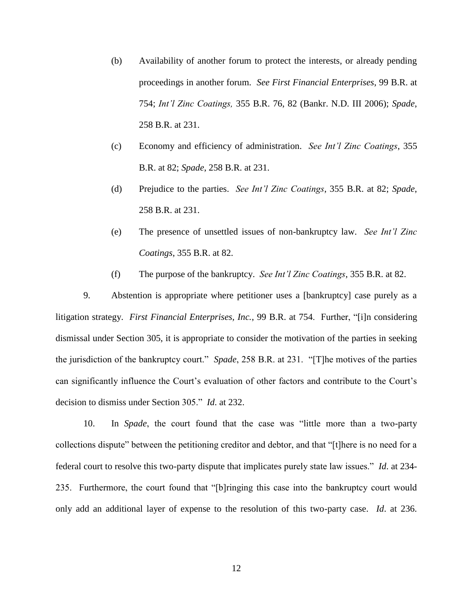- (b) Availability of another forum to protect the interests, or already pending proceedings in another forum. *See First Financial Enterprises*, 99 B.R. at 754; *Int'l Zinc Coatings,* 355 B.R. 76, 82 (Bankr. N.D. III 2006); *Spade*, 258 B.R. at 231.
- (c) Economy and efficiency of administration. *See Int'l Zinc Coatings*, 355 B.R. at 82; *Spade*, 258 B.R. at 231.
- (d) Prejudice to the parties. *See Int'l Zinc Coatings*, 355 B.R. at 82; *Spade*, 258 B.R. at 231.
- (e) The presence of unsettled issues of non-bankruptcy law. *See Int'l Zinc Coatings*, 355 B.R. at 82.
- (f) The purpose of the bankruptcy. *See Int'l Zinc Coatings*, 355 B.R. at 82.

9. Abstention is appropriate where petitioner uses a [bankruptcy] case purely as a litigation strategy. *First Financial Enterprises, Inc.*, 99 B.R. at 754. Further, "[i]n considering dismissal under Section 305, it is appropriate to consider the motivation of the parties in seeking the jurisdiction of the bankruptcy court." *Spade*, 258 B.R. at 231. "[T]he motives of the parties can significantly influence the Court's evaluation of other factors and contribute to the Court's decision to dismiss under Section 305.‖ *Id*. at 232.

10. In *Spade*, the court found that the case was "little more than a two-party collections dispute" between the petitioning creditor and debtor, and that "[t]here is no need for a federal court to resolve this two-party dispute that implicates purely state law issues.‖ *Id*. at 234- 235. Furthermore, the court found that "[b]ringing this case into the bankruptcy court would only add an additional layer of expense to the resolution of this two-party case. *Id*. at 236.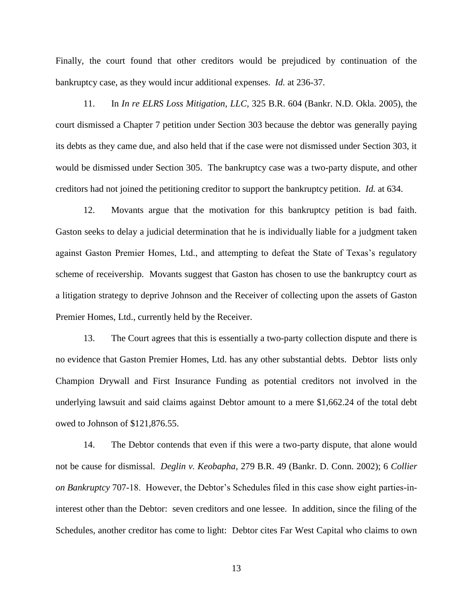Finally, the court found that other creditors would be prejudiced by continuation of the bankruptcy case, as they would incur additional expenses. *Id.* at 236-37.

11. In *In re ELRS Loss Mitigation, LLC,* 325 B.R. 604 (Bankr. N.D. Okla. 2005), the court dismissed a Chapter 7 petition under Section 303 because the debtor was generally paying its debts as they came due, and also held that if the case were not dismissed under Section 303, it would be dismissed under Section 305. The bankruptcy case was a two-party dispute, and other creditors had not joined the petitioning creditor to support the bankruptcy petition. *Id.* at 634.

12. Movants argue that the motivation for this bankruptcy petition is bad faith. Gaston seeks to delay a judicial determination that he is individually liable for a judgment taken against Gaston Premier Homes, Ltd., and attempting to defeat the State of Texas's regulatory scheme of receivership. Movants suggest that Gaston has chosen to use the bankruptcy court as a litigation strategy to deprive Johnson and the Receiver of collecting upon the assets of Gaston Premier Homes, Ltd., currently held by the Receiver.

13. The Court agrees that this is essentially a two-party collection dispute and there is no evidence that Gaston Premier Homes, Ltd. has any other substantial debts. Debtor lists only Champion Drywall and First Insurance Funding as potential creditors not involved in the underlying lawsuit and said claims against Debtor amount to a mere \$1,662.24 of the total debt owed to Johnson of \$121,876.55.

14. The Debtor contends that even if this were a two-party dispute, that alone would not be cause for dismissal. *Deglin v. Keobapha*, 279 B.R. 49 (Bankr. D. Conn. 2002); 6 *Collier on Bankruptcy* 707-18. However, the Debtor's Schedules filed in this case show eight parties-ininterest other than the Debtor: seven creditors and one lessee. In addition, since the filing of the Schedules, another creditor has come to light: Debtor cites Far West Capital who claims to own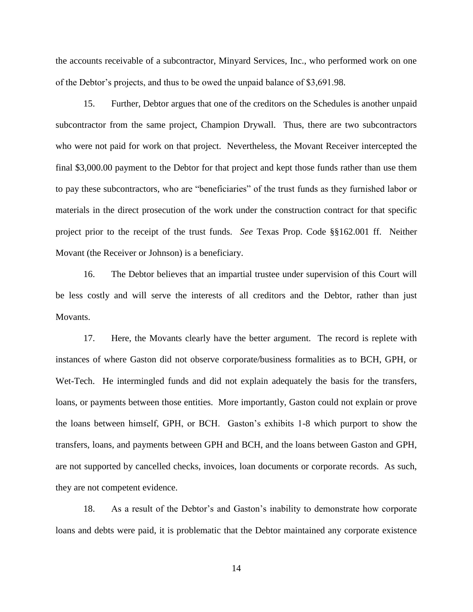the accounts receivable of a subcontractor, Minyard Services, Inc., who performed work on one of the Debtor's projects, and thus to be owed the unpaid balance of \$3,691.98.

15. Further, Debtor argues that one of the creditors on the Schedules is another unpaid subcontractor from the same project, Champion Drywall. Thus, there are two subcontractors who were not paid for work on that project. Nevertheless, the Movant Receiver intercepted the final \$3,000.00 payment to the Debtor for that project and kept those funds rather than use them to pay these subcontractors, who are "beneficiaries" of the trust funds as they furnished labor or materials in the direct prosecution of the work under the construction contract for that specific project prior to the receipt of the trust funds. *See* Texas Prop. Code §§162.001 ff. Neither Movant (the Receiver or Johnson) is a beneficiary.

16. The Debtor believes that an impartial trustee under supervision of this Court will be less costly and will serve the interests of all creditors and the Debtor, rather than just Movants.

17. Here, the Movants clearly have the better argument. The record is replete with instances of where Gaston did not observe corporate/business formalities as to BCH, GPH, or Wet-Tech. He intermingled funds and did not explain adequately the basis for the transfers, loans, or payments between those entities. More importantly, Gaston could not explain or prove the loans between himself, GPH, or BCH. Gaston's exhibits 1-8 which purport to show the transfers, loans, and payments between GPH and BCH, and the loans between Gaston and GPH, are not supported by cancelled checks, invoices, loan documents or corporate records. As such, they are not competent evidence.

18. As a result of the Debtor's and Gaston's inability to demonstrate how corporate loans and debts were paid, it is problematic that the Debtor maintained any corporate existence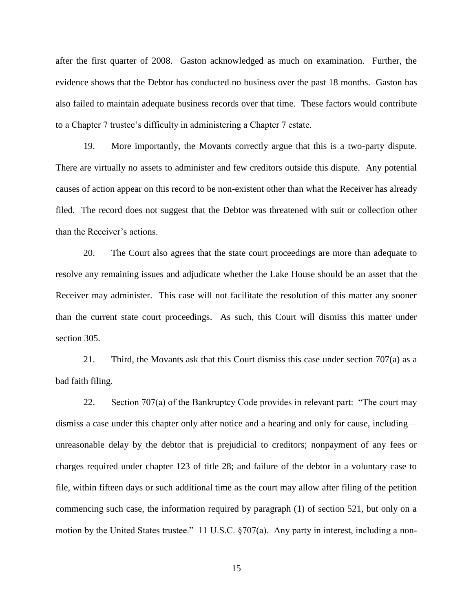after the first quarter of 2008. Gaston acknowledged as much on examination. Further, the evidence shows that the Debtor has conducted no business over the past 18 months. Gaston has also failed to maintain adequate business records over that time. These factors would contribute to a Chapter 7 trustee's difficulty in administering a Chapter 7 estate.

19. More importantly, the Movants correctly argue that this is a two-party dispute. There are virtually no assets to administer and few creditors outside this dispute. Any potential causes of action appear on this record to be non-existent other than what the Receiver has already filed. The record does not suggest that the Debtor was threatened with suit or collection other than the Receiver's actions.

20. The Court also agrees that the state court proceedings are more than adequate to resolve any remaining issues and adjudicate whether the Lake House should be an asset that the Receiver may administer. This case will not facilitate the resolution of this matter any sooner than the current state court proceedings. As such, this Court will dismiss this matter under section 305.

21. Third, the Movants ask that this Court dismiss this case under section  $707(a)$  as a bad faith filing.

22. Section 707(a) of the Bankruptcy Code provides in relevant part: "The court may dismiss a case under this chapter only after notice and a hearing and only for cause, including unreasonable delay by the debtor that is prejudicial to creditors; nonpayment of any fees or charges required under chapter 123 of title 28; and failure of the debtor in a voluntary case to file, within fifteen days or such additional time as the court may allow after filing of the petition commencing such case, the information required by paragraph (1) of section 521, but only on a motion by the United States trustee." 11 U.S.C. §707(a). Any party in interest, including a non-